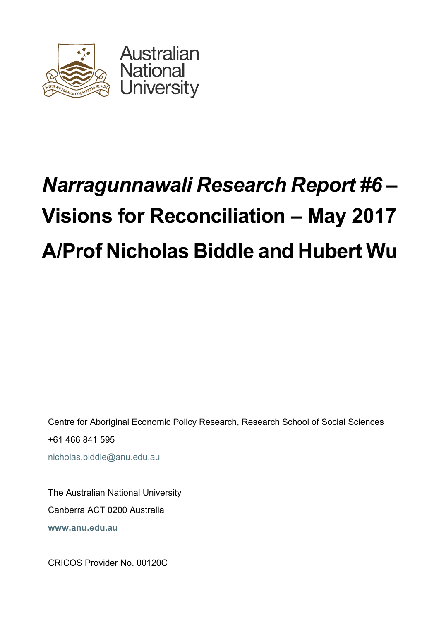

# *Narragunnawali Research Report #6* **– Visions for Reconciliation – May 2017 A/Prof Nicholas Biddle and Hubert Wu**

Centre for Aboriginal Economic Policy Research, Research School of Social Sciences +61 466 841 595 nicholas.biddle@anu.edu.au

The Australian National University Canberra ACT 0200 Australia **www.anu.edu.au**

CRICOS Provider No. 00120C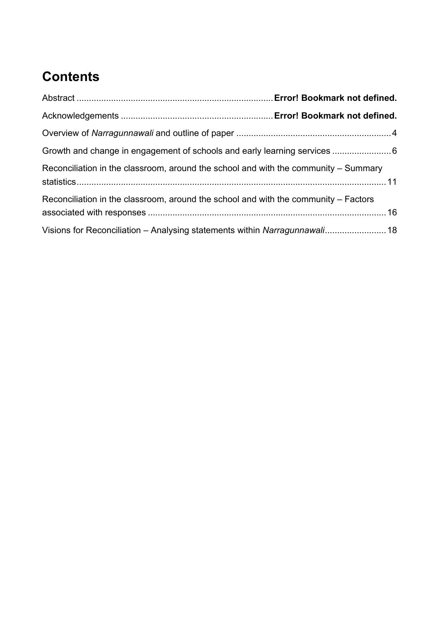# **Contents**

| Reconciliation in the classroom, around the school and with the community - Summary |  |
|-------------------------------------------------------------------------------------|--|
| Reconciliation in the classroom, around the school and with the community – Factors |  |
| Visions for Reconciliation – Analysing statements within Narragunnawali 18          |  |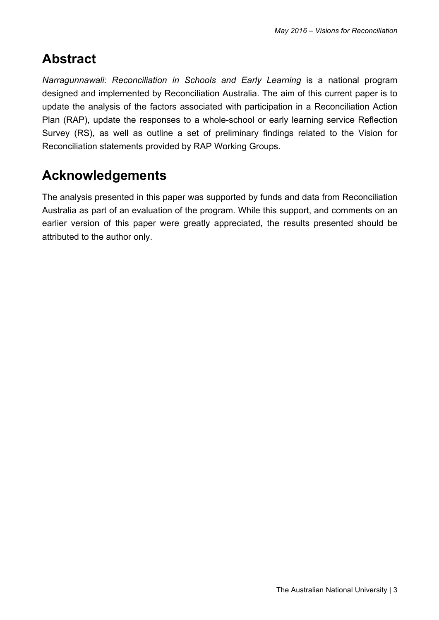## **Abstract**

*Narragunnawali: Reconciliation in Schools and Early Learning* is a national program designed and implemented by Reconciliation Australia. The aim of this current paper is to update the analysis of the factors associated with participation in a Reconciliation Action Plan (RAP), update the responses to a whole-school or early learning service Reflection Survey (RS), as well as outline a set of preliminary findings related to the Vision for Reconciliation statements provided by RAP Working Groups.

## **Acknowledgements**

The analysis presented in this paper was supported by funds and data from Reconciliation Australia as part of an evaluation of the program. While this support, and comments on an earlier version of this paper were greatly appreciated, the results presented should be attributed to the author only.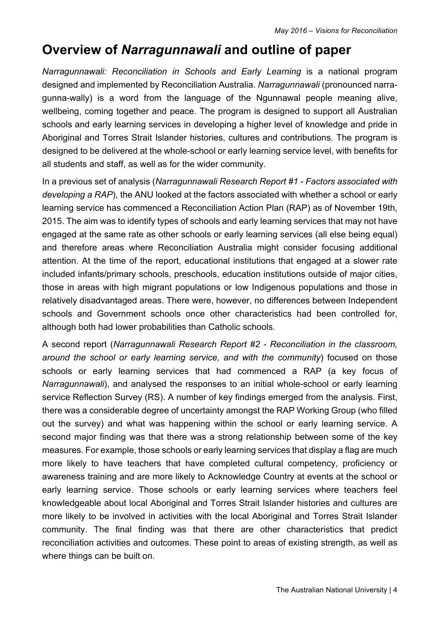## **Overview of** *Narragunnawali* **and outline of paper**

*Narragunnawali: Reconciliation in Schools and Early Learning* is a national program designed and implemented by Reconciliation Australia. *Narragunnawali* (pronounced narragunna-wally) is a word from the language of the Ngunnawal people meaning alive, wellbeing, coming together and peace. The program is designed to support all Australian schools and early learning services in developing a higher level of knowledge and pride in Aboriginal and Torres Strait Islander histories, cultures and contributions. The program is designed to be delivered at the whole-school or early learning service level, with benefits for all students and staff, as well as for the wider community.

In a previous set of analysis (*Narragunnawali Research Report #1 - Factors associated with developing a RAP*), the ANU looked at the factors associated with whether a school or early learning service has commenced a Reconciliation Action Plan (RAP) as of November 19th, 2015. The aim was to identify types of schools and early learning services that may not have engaged at the same rate as other schools or early learning services (all else being equal) and therefore areas where Reconciliation Australia might consider focusing additional attention. At the time of the report, educational institutions that engaged at a slower rate included infants/primary schools, preschools, education institutions outside of major cities, those in areas with high migrant populations or low Indigenous populations and those in relatively disadvantaged areas. There were, however, no differences between Independent schools and Government schools once other characteristics had been controlled for, although both had lower probabilities than Catholic schools.

A second report (*Narragunnawali Research Report #2 - Reconciliation in the classroom, around the school or early learning service, and with the community*) focused on those schools or early learning services that had commenced a RAP (a key focus of *Narragunnawali*), and analysed the responses to an initial whole-school or early learning service Reflection Survey (RS). A number of key findings emerged from the analysis. First, there was a considerable degree of uncertainty amongst the RAP Working Group (who filled out the survey) and what was happening within the school or early learning service. A second major finding was that there was a strong relationship between some of the key measures. For example, those schools or early learning services that display a flag are much more likely to have teachers that have completed cultural competency, proficiency or awareness training and are more likely to Acknowledge Country at events at the school or early learning service. Those schools or early learning services where teachers feel knowledgeable about local Aboriginal and Torres Strait Islander histories and cultures are more likely to be involved in activities with the local Aboriginal and Torres Strait Islander community. The final finding was that there are other characteristics that predict reconciliation activities and outcomes. These point to areas of existing strength, as well as where things can be built on.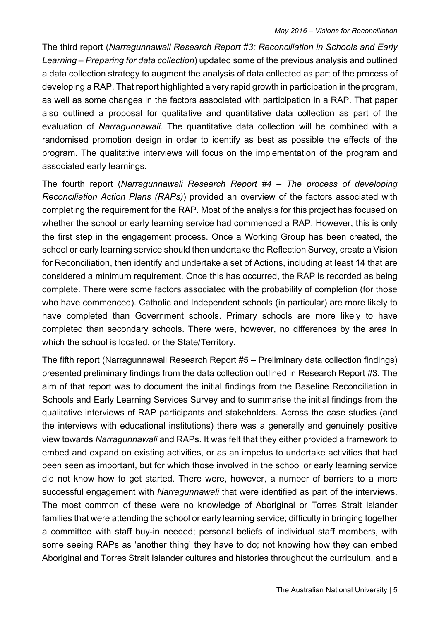The third report (*Narragunnawali Research Report #3: Reconciliation in Schools and Early Learning – Preparing for data collection*) updated some of the previous analysis and outlined a data collection strategy to augment the analysis of data collected as part of the process of developing a RAP. That report highlighted a very rapid growth in participation in the program, as well as some changes in the factors associated with participation in a RAP. That paper also outlined a proposal for qualitative and quantitative data collection as part of the evaluation of *Narragunnawali*. The quantitative data collection will be combined with a randomised promotion design in order to identify as best as possible the effects of the program. The qualitative interviews will focus on the implementation of the program and associated early learnings.

The fourth report (*Narragunnawali Research Report #4 – The process of developing Reconciliation Action Plans (RAPs)*) provided an overview of the factors associated with completing the requirement for the RAP. Most of the analysis for this project has focused on whether the school or early learning service had commenced a RAP. However, this is only the first step in the engagement process. Once a Working Group has been created, the school or early learning service should then undertake the Reflection Survey, create a Vision for Reconciliation, then identify and undertake a set of Actions, including at least 14 that are considered a minimum requirement. Once this has occurred, the RAP is recorded as being complete. There were some factors associated with the probability of completion (for those who have commenced). Catholic and Independent schools (in particular) are more likely to have completed than Government schools. Primary schools are more likely to have completed than secondary schools. There were, however, no differences by the area in which the school is located, or the State/Territory.

The fifth report (Narragunnawali Research Report #5 – Preliminary data collection findings) presented preliminary findings from the data collection outlined in Research Report #3. The aim of that report was to document the initial findings from the Baseline Reconciliation in Schools and Early Learning Services Survey and to summarise the initial findings from the qualitative interviews of RAP participants and stakeholders. Across the case studies (and the interviews with educational institutions) there was a generally and genuinely positive view towards *Narragunnawali* and RAPs. It was felt that they either provided a framework to embed and expand on existing activities, or as an impetus to undertake activities that had been seen as important, but for which those involved in the school or early learning service did not know how to get started. There were, however, a number of barriers to a more successful engagement with *Narragunnawali* that were identified as part of the interviews. The most common of these were no knowledge of Aboriginal or Torres Strait Islander families that were attending the school or early learning service; difficulty in bringing together a committee with staff buy-in needed; personal beliefs of individual staff members, with some seeing RAPs as 'another thing' they have to do; not knowing how they can embed Aboriginal and Torres Strait Islander cultures and histories throughout the curriculum, and a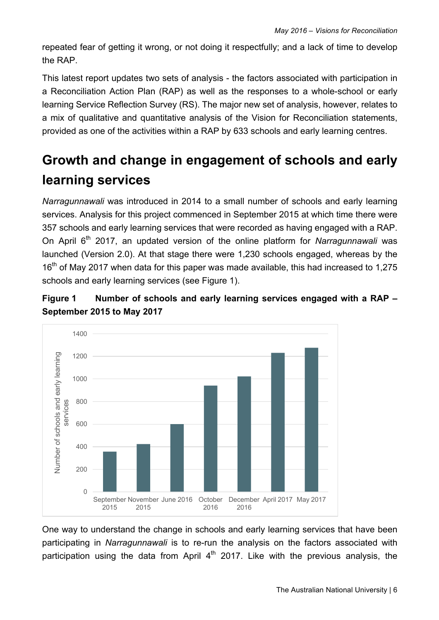repeated fear of getting it wrong, or not doing it respectfully; and a lack of time to develop the RAP.

This latest report updates two sets of analysis - the factors associated with participation in a Reconciliation Action Plan (RAP) as well as the responses to a whole-school or early learning Service Reflection Survey (RS). The major new set of analysis, however, relates to a mix of qualitative and quantitative analysis of the Vision for Reconciliation statements, provided as one of the activities within a RAP by 633 schools and early learning centres.

## **Growth and change in engagement of schools and early learning services**

*Narragunnawali* was introduced in 2014 to a small number of schools and early learning services. Analysis for this project commenced in September 2015 at which time there were 357 schools and early learning services that were recorded as having engaged with a RAP. On April 6th 2017, an updated version of the online platform for *Narragunnawali* was launched (Version 2.0). At that stage there were 1,230 schools engaged, whereas by the 16<sup>th</sup> of May 2017 when data for this paper was made available, this had increased to 1,275 schools and early learning services (see Figure 1).

#### **Figure 1 Number of schools and early learning services engaged with a RAP – September 2015 to May 2017**



One way to understand the change in schools and early learning services that have been participating in *Narragunnawali* is to re-run the analysis on the factors associated with participation using the data from April  $4<sup>th</sup>$  2017. Like with the previous analysis, the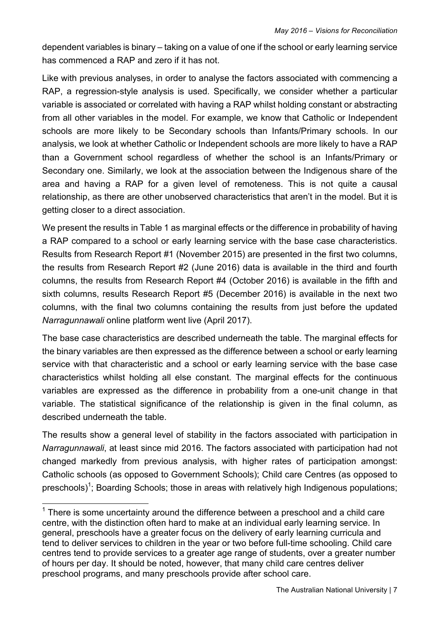dependent variables is binary – taking on a value of one if the school or early learning service has commenced a RAP and zero if it has not.

Like with previous analyses, in order to analyse the factors associated with commencing a RAP, a regression-style analysis is used. Specifically, we consider whether a particular variable is associated or correlated with having a RAP whilst holding constant or abstracting from all other variables in the model. For example, we know that Catholic or Independent schools are more likely to be Secondary schools than Infants/Primary schools. In our analysis, we look at whether Catholic or Independent schools are more likely to have a RAP than a Government school regardless of whether the school is an Infants/Primary or Secondary one. Similarly, we look at the association between the Indigenous share of the area and having a RAP for a given level of remoteness. This is not quite a causal relationship, as there are other unobserved characteristics that aren't in the model. But it is getting closer to a direct association.

We present the results in Table 1 as marginal effects or the difference in probability of having a RAP compared to a school or early learning service with the base case characteristics. Results from Research Report #1 (November 2015) are presented in the first two columns, the results from Research Report #2 (June 2016) data is available in the third and fourth columns, the results from Research Report #4 (October 2016) is available in the fifth and sixth columns, results Research Report #5 (December 2016) is available in the next two columns, with the final two columns containing the results from just before the updated *Narragunnawali* online platform went live (April 2017).

The base case characteristics are described underneath the table. The marginal effects for the binary variables are then expressed as the difference between a school or early learning service with that characteristic and a school or early learning service with the base case characteristics whilst holding all else constant. The marginal effects for the continuous variables are expressed as the difference in probability from a one-unit change in that variable. The statistical significance of the relationship is given in the final column, as described underneath the table.

The results show a general level of stability in the factors associated with participation in *Narragunnawali*, at least since mid 2016. The factors associated with participation had not changed markedly from previous analysis, with higher rates of participation amongst: Catholic schools (as opposed to Government Schools); Child care Centres (as opposed to preschools)<sup>1</sup>; Boarding Schools; those in areas with relatively high Indigenous populations;

 $1$  There is some uncertainty around the difference between a preschool and a child care centre, with the distinction often hard to make at an individual early learning service. In general, preschools have a greater focus on the delivery of early learning curricula and tend to deliver services to children in the year or two before full-time schooling. Child care centres tend to provide services to a greater age range of students, over a greater number of hours per day. It should be noted, however, that many child care centres deliver preschool programs, and many preschools provide after school care.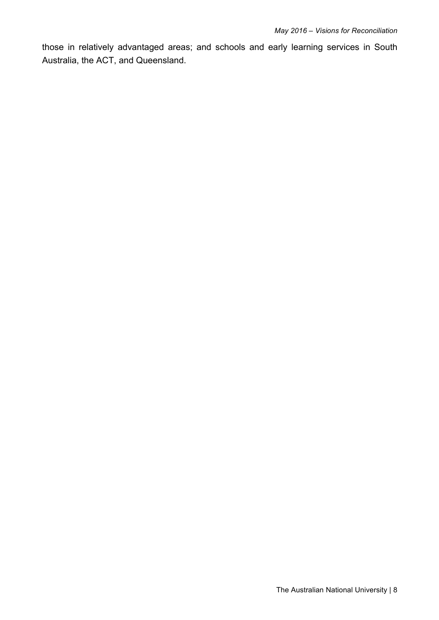those in relatively advantaged areas; and schools and early learning services in South Australia, the ACT, and Queensland.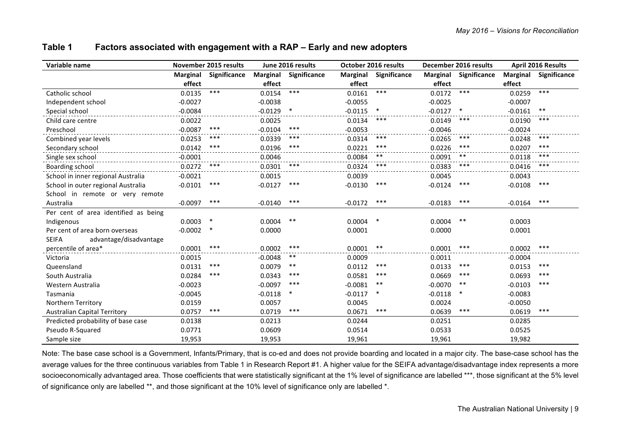| Variable name                          |                 | <b>November 2015 results</b> |                 | June 2016 results |           | <b>October 2016 results</b> |                 | December 2016 results |                 | <b>April 2016 Results</b> |
|----------------------------------------|-----------------|------------------------------|-----------------|-------------------|-----------|-----------------------------|-----------------|-----------------------|-----------------|---------------------------|
|                                        | <b>Marginal</b> | Significance                 | <b>Marginal</b> | Significance      | Marginal  | Significance                | <b>Marginal</b> | Significance          | <b>Marginal</b> | Significance              |
|                                        | effect          |                              | effect          |                   | effect    |                             | effect          |                       | effect          |                           |
| Catholic school                        | 0.0135          | $***$                        | 0.0154          | $***$             | 0.0161    | $***$                       | 0.0172          | $***$                 | 0.0259          | $***$                     |
| Independent school                     | $-0.0027$       |                              | $-0.0038$       |                   | $-0.0055$ |                             | $-0.0025$       |                       | $-0.0007$       |                           |
| Special school                         | $-0.0084$       |                              | $-0.0129$       | $\ast$            | $-0.0115$ | $\ast$                      | $-0.0127$       | $\ast$                | $-0.0161$       | $***$                     |
| Child care centre                      | 0.0022          |                              | 0.0025          |                   | 0.0134    | ***                         | 0.0149          | ***                   | 0.0190          | $***$                     |
| Preschool                              | $-0.0087$       | ***                          | $-0.0104$       | ***               | $-0.0053$ |                             | $-0.0046$       |                       | $-0.0024$       |                           |
| Combined year levels                   | 0.0253          | ***                          | 0.0339          | ***               | 0.0314    | $***$                       | 0.0265          | ***                   | 0.0248          | ***                       |
| Secondary school                       | 0.0142          | ***                          | 0.0196          | ***               | 0.0221    | ***                         | 0.0226          | ***                   | 0.0207          | ***                       |
| Single sex school                      | $-0.0001$       |                              | 0.0046          |                   | 0.0084    | $***$                       | 0.0091          | $***$                 | 0.0118          | ***                       |
| Boarding school                        | 0.0272          | $***$                        | 0.0301          | ***               | 0.0324    | ***                         | 0.0383          | ***                   | 0.0416          | ***                       |
| School in inner regional Australia     | $-0.0021$       |                              | 0.0015          |                   | 0.0039    |                             | 0.0045          |                       | 0.0043          |                           |
| School in outer regional Australia     | $-0.0101$       | $***$                        | $-0.0127$       | ***               | $-0.0130$ | ***                         | $-0.0124$       | ***                   | $-0.0108$       | ***                       |
| School in remote or very remote        |                 |                              |                 |                   |           |                             |                 |                       |                 |                           |
| Australia                              | $-0.0097$       | ***                          | $-0.0140$       | ***               | $-0.0172$ | ***                         | $-0.0183$       | ***                   | $-0.0164$       | ***                       |
| Per cent of area identified as being   |                 |                              |                 |                   |           |                             |                 |                       |                 |                           |
| Indigenous                             | 0.0003          | ∗                            | 0.0004          | $***$             | 0.0004    | $\ast$                      | 0.0004          | $***$                 | 0.0003          |                           |
| Per cent of area born overseas         | $-0.0002$       |                              | 0.0000          |                   | 0.0001    |                             | 0.0000          |                       | 0.0001          |                           |
| <b>SEIFA</b><br>advantage/disadvantage |                 |                              |                 |                   |           |                             |                 |                       |                 |                           |
| percentile of area*                    | 0.0001          | ***                          | 0.0002          | ***               | 0.0001    | $***$                       | 0.0001          | ***                   | 0.0002          | ***                       |
| Victoria                               | 0.0015          |                              | $-0.0048$       | $***$             | 0.0009    |                             | 0.0011          |                       | $-0.0004$       |                           |
| Queensland                             | 0.0131          | ***                          | 0.0079          | $***$             | 0.0112    | ***                         | 0.0133          | ***                   | 0.0153          | $***$                     |
| South Australia                        | 0.0284          | ***                          | 0.0343          | ***               | 0.0581    | ***                         | 0.0669          | ***                   | 0.0693          | $***$                     |
| Western Australia                      | $-0.0023$       |                              | $-0.0097$       | ***               | $-0.0081$ | $***$                       | $-0.0070$       | $***$                 | $-0.0103$       | $***$                     |
| Tasmania                               | $-0.0045$       |                              | $-0.0118$       | ∗                 | $-0.0117$ | ∗                           | $-0.0118$       |                       | $-0.0083$       |                           |
| <b>Northern Territory</b>              | 0.0159          |                              | 0.0057          |                   | 0.0045    |                             | 0.0024          |                       | $-0.0050$       |                           |
| <b>Australian Capital Territory</b>    | 0.0757          | ***                          | 0.0719          | ***               | 0.0671    | ***                         | 0.0639          | ***                   | 0.0619          | ***                       |
| Predicted probability of base case     | 0.0138          |                              | 0.0213          |                   | 0.0244    |                             | 0.0251          |                       | 0.0285          |                           |
| Pseudo R-Squared                       | 0.0771          |                              | 0.0609          |                   | 0.0514    |                             | 0.0533          |                       | 0.0525          |                           |
| Sample size                            | 19,953          |                              | 19,953          |                   | 19,961    |                             | 19,961          |                       | 19,982          |                           |

#### **Table 1 Factors associated with engagement with a RAP – Early and new adopters**

Note: The base case school is a Government, Infants/Primary, that is co-ed and does not provide boarding and located in a major city. The base-case school has the average values for the three continuous variables from Table 1 in Research Report #1. A higher value for the SEIFA advantage/disadvantage index represents a more socioeconomically advantaged area. Those coefficients that were statistically significant at the 1% level of significance are labelled \*\*\*, those significant at the 5% level of significance only are labelled \*\*, and those significant at the 10% level of significance only are labelled \*.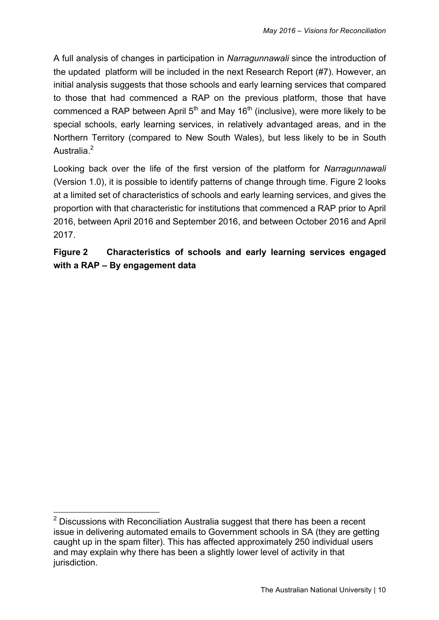A full analysis of changes in participation in *Narragunnawali* since the introduction of the updated platform will be included in the next Research Report (#7). However, an initial analysis suggests that those schools and early learning services that compared to those that had commenced a RAP on the previous platform, those that have commenced a RAP between April  $5<sup>th</sup>$  and May 16<sup>th</sup> (inclusive), were more likely to be special schools, early learning services, in relatively advantaged areas, and in the Northern Territory (compared to New South Wales), but less likely to be in South Australia<sup>2</sup>

Looking back over the life of the first version of the platform for *Narragunnawali* (Version 1.0), it is possible to identify patterns of change through time. Figure 2 looks at a limited set of characteristics of schools and early learning services, and gives the proportion with that characteristic for institutions that commenced a RAP prior to April 2016, between April 2016 and September 2016, and between October 2016 and April 2017.

### **Figure 2 Characteristics of schools and early learning services engaged with a RAP – By engagement data**

 $2$  Discussions with Reconciliation Australia suggest that there has been a recent issue in delivering automated emails to Government schools in SA (they are getting caught up in the spam filter). This has affected approximately 250 individual users and may explain why there has been a slightly lower level of activity in that jurisdiction.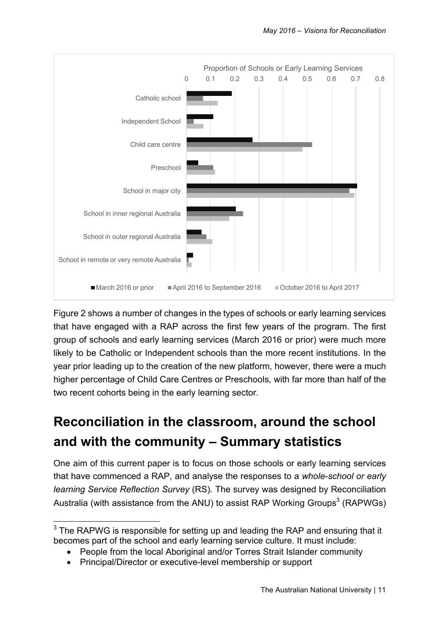

Figure 2 shows a number of changes in the types of schools or early learning services that have engaged with a RAP across the first few years of the program. The first group of schools and early learning services (March 2016 or prior) were much more likely to be Catholic or Independent schools than the more recent institutions. In the year prior leading up to the creation of the new platform, however, there were a much higher percentage of Child Care Centres or Preschools, with far more than half of the two recent cohorts being in the early learning sector.

## **Reconciliation in the classroom, around the school and with the community – Summary statistics**

One aim of this current paper is to focus on those schools or early learning services that have commenced a RAP, and analyse the responses to a *whole*-*school or early learning Service Reflection Survey* (RS)*.* The survey was designed by Reconciliation Australia (with assistance from the ANU) to assist RAP Working Groups<sup>3</sup> (RAPWGs)

 $3$  The RAPWG is responsible for setting up and leading the RAP and ensuring that it becomes part of the school and early learning service culture. It must include:

<sup>•</sup> People from the local Aboriginal and/or Torres Strait Islander community

<sup>•</sup> Principal/Director or executive-level membership or support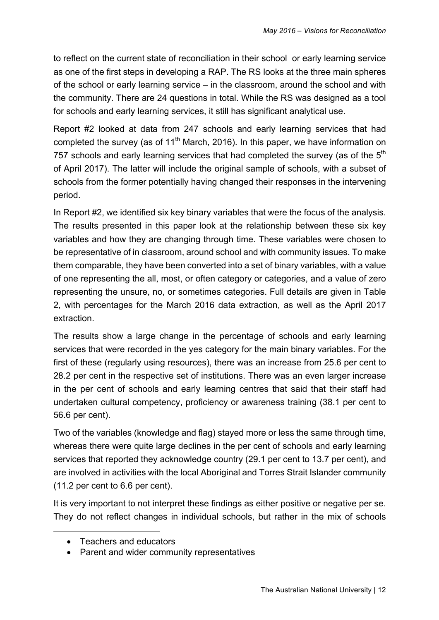to reflect on the current state of reconciliation in their school or early learning service as one of the first steps in developing a RAP. The RS looks at the three main spheres of the school or early learning service – in the classroom, around the school and with the community. There are 24 questions in total. While the RS was designed as a tool for schools and early learning services, it still has significant analytical use.

Report #2 looked at data from 247 schools and early learning services that had completed the survey (as of  $11<sup>th</sup>$  March, 2016). In this paper, we have information on 757 schools and early learning services that had completed the survey (as of the  $5<sup>th</sup>$ of April 2017). The latter will include the original sample of schools, with a subset of schools from the former potentially having changed their responses in the intervening period.

In Report #2, we identified six key binary variables that were the focus of the analysis. The results presented in this paper look at the relationship between these six key variables and how they are changing through time. These variables were chosen to be representative of in classroom, around school and with community issues. To make them comparable, they have been converted into a set of binary variables, with a value of one representing the all, most, or often category or categories, and a value of zero representing the unsure, no, or sometimes categories. Full details are given in Table 2, with percentages for the March 2016 data extraction, as well as the April 2017 extraction.

The results show a large change in the percentage of schools and early learning services that were recorded in the yes category for the main binary variables. For the first of these (regularly using resources), there was an increase from 25.6 per cent to 28.2 per cent in the respective set of institutions. There was an even larger increase in the per cent of schools and early learning centres that said that their staff had undertaken cultural competency, proficiency or awareness training (38.1 per cent to 56.6 per cent).

Two of the variables (knowledge and flag) stayed more or less the same through time, whereas there were quite large declines in the per cent of schools and early learning services that reported they acknowledge country (29.1 per cent to 13.7 per cent), and are involved in activities with the local Aboriginal and Torres Strait Islander community (11.2 per cent to 6.6 per cent).

It is very important to not interpret these findings as either positive or negative per se. They do not reflect changes in individual schools, but rather in the mix of schools

 $\overline{a}$ 

<sup>•</sup> Teachers and educators

<sup>•</sup> Parent and wider community representatives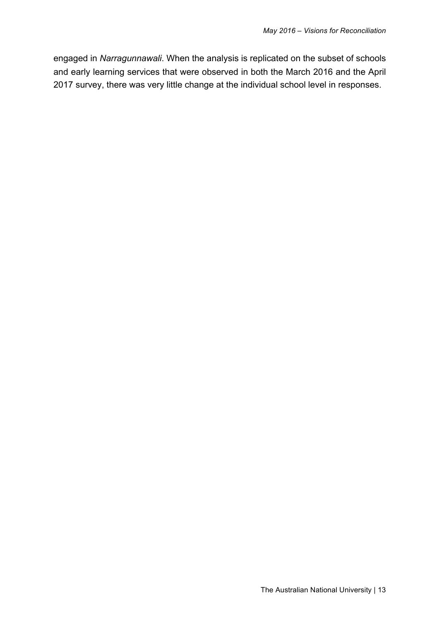engaged in *Narragunnawali*. When the analysis is replicated on the subset of schools and early learning services that were observed in both the March 2016 and the April 2017 survey, there was very little change at the individual school level in responses.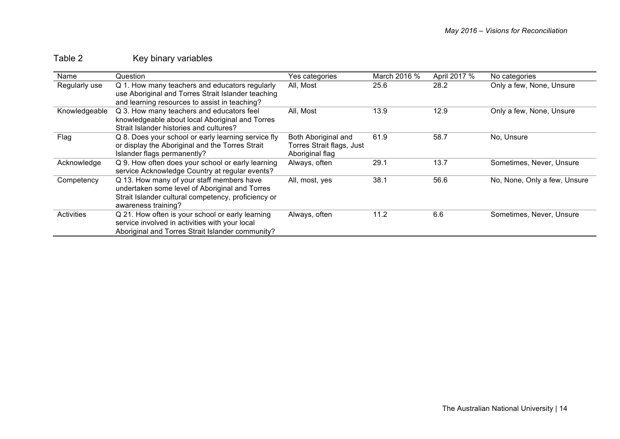## Table 2 Key binary variables

| Name          | Question                                            | Yes categories            | March 2016 % | April 2017 % | No categories                |
|---------------|-----------------------------------------------------|---------------------------|--------------|--------------|------------------------------|
| Regularly use | Q 1. How many teachers and educators regularly      | All, Most                 | 25.6         | 28.2         | Only a few, None, Unsure     |
|               | use Aboriginal and Torres Strait Islander teaching  |                           |              |              |                              |
|               | and learning resources to assist in teaching?       |                           |              |              |                              |
| Knowledgeable | Q 3. How many teachers and educators feel           | All, Most                 | 13.9         | 12.9         | Only a few, None, Unsure     |
|               | knowledgeable about local Aboriginal and Torres     |                           |              |              |                              |
|               | Strait Islander histories and cultures?             |                           |              |              |                              |
| Flag          | Q 8. Does your school or early learning service fly | Both Aboriginal and       | 61.9         | 58.7         | No, Unsure                   |
|               | or display the Aboriginal and the Torres Strait     | Torres Strait flags, Just |              |              |                              |
|               | Islander flags permanently?                         | Aboriginal flag           |              |              |                              |
| Acknowledge   | Q 9. How often does your school or early learning   | Always, often             | 29.1         | 13.7         | Sometimes, Never, Unsure     |
|               | service Acknowledge Country at regular events?      |                           |              |              |                              |
| Competency    | Q 13. How many of your staff members have           | All, most, yes            | 38.1         | 56.6         | No, None, Only a few, Unsure |
|               | undertaken some level of Aboriginal and Torres      |                           |              |              |                              |
|               | Strait Islander cultural competency, proficiency or |                           |              |              |                              |
|               | awareness training?                                 |                           |              |              |                              |
| Activities    | Q 21. How often is your school or early learning    | Always, often             | 11.2         | 6.6          | Sometimes, Never, Unsure     |
|               | service involved in activities with your local      |                           |              |              |                              |
|               | Aboriginal and Torres Strait Islander community?    |                           |              |              |                              |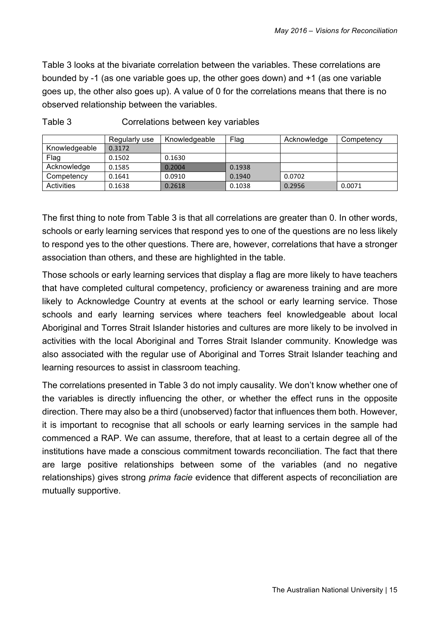Table 3 looks at the bivariate correlation between the variables. These correlations are bounded by -1 (as one variable goes up, the other goes down) and +1 (as one variable goes up, the other also goes up). A value of 0 for the correlations means that there is no observed relationship between the variables.

|               | Regularly use | Knowledgeable | Flag   | Acknowledge | Competency |
|---------------|---------------|---------------|--------|-------------|------------|
| Knowledgeable | 0.3172        |               |        |             |            |
| Flag          | 0.1502        | 0.1630        |        |             |            |
| Acknowledge   | 0.1585        | 0.2004        | 0.1938 |             |            |
| Competency    | 0.1641        | 0.0910        | 0.1940 | 0.0702      |            |
| Activities    | 0.1638        | 0.2618        | 0.1038 | 0.2956      | 0.0071     |

The first thing to note from Table 3 is that all correlations are greater than 0. In other words, schools or early learning services that respond yes to one of the questions are no less likely to respond yes to the other questions. There are, however, correlations that have a stronger association than others, and these are highlighted in the table.

Those schools or early learning services that display a flag are more likely to have teachers that have completed cultural competency, proficiency or awareness training and are more likely to Acknowledge Country at events at the school or early learning service. Those schools and early learning services where teachers feel knowledgeable about local Aboriginal and Torres Strait Islander histories and cultures are more likely to be involved in activities with the local Aboriginal and Torres Strait Islander community. Knowledge was also associated with the regular use of Aboriginal and Torres Strait Islander teaching and learning resources to assist in classroom teaching.

The correlations presented in Table 3 do not imply causality. We don't know whether one of the variables is directly influencing the other, or whether the effect runs in the opposite direction. There may also be a third (unobserved) factor that influences them both. However, it is important to recognise that all schools or early learning services in the sample had commenced a RAP. We can assume, therefore, that at least to a certain degree all of the institutions have made a conscious commitment towards reconciliation. The fact that there are large positive relationships between some of the variables (and no negative relationships) gives strong *prima facie* evidence that different aspects of reconciliation are mutually supportive.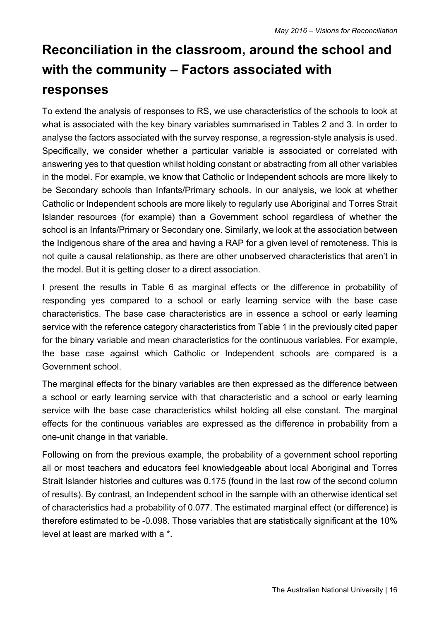# **Reconciliation in the classroom, around the school and with the community – Factors associated with responses**

To extend the analysis of responses to RS, we use characteristics of the schools to look at what is associated with the key binary variables summarised in Tables 2 and 3. In order to analyse the factors associated with the survey response, a regression-style analysis is used. Specifically, we consider whether a particular variable is associated or correlated with answering yes to that question whilst holding constant or abstracting from all other variables in the model. For example, we know that Catholic or Independent schools are more likely to be Secondary schools than Infants/Primary schools. In our analysis, we look at whether Catholic or Independent schools are more likely to regularly use Aboriginal and Torres Strait Islander resources (for example) than a Government school regardless of whether the school is an Infants/Primary or Secondary one. Similarly, we look at the association between the Indigenous share of the area and having a RAP for a given level of remoteness. This is not quite a causal relationship, as there are other unobserved characteristics that aren't in the model. But it is getting closer to a direct association.

I present the results in Table 6 as marginal effects or the difference in probability of responding yes compared to a school or early learning service with the base case characteristics. The base case characteristics are in essence a school or early learning service with the reference category characteristics from Table 1 in the previously cited paper for the binary variable and mean characteristics for the continuous variables. For example, the base case against which Catholic or Independent schools are compared is a Government school.

The marginal effects for the binary variables are then expressed as the difference between a school or early learning service with that characteristic and a school or early learning service with the base case characteristics whilst holding all else constant. The marginal effects for the continuous variables are expressed as the difference in probability from a one-unit change in that variable.

Following on from the previous example, the probability of a government school reporting all or most teachers and educators feel knowledgeable about local Aboriginal and Torres Strait Islander histories and cultures was 0.175 (found in the last row of the second column of results). By contrast, an Independent school in the sample with an otherwise identical set of characteristics had a probability of 0.077. The estimated marginal effect (or difference) is therefore estimated to be -0.098. Those variables that are statistically significant at the 10% level at least are marked with a \*.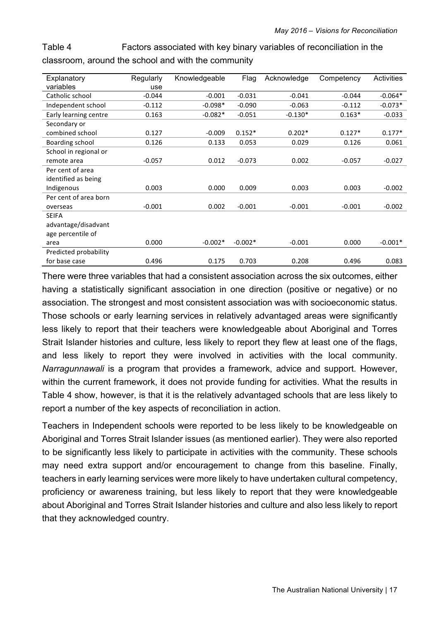Table 4 Factors associated with key binary variables of reconciliation in the classroom, around the school and with the community

| Explanatory           | Regularly | Knowledgeable | Flag      | Acknowledge | Competency | Activities |
|-----------------------|-----------|---------------|-----------|-------------|------------|------------|
| variables             | use       |               |           |             |            |            |
| Catholic school       | $-0.044$  | $-0.001$      | $-0.031$  | $-0.041$    | $-0.044$   | $-0.064*$  |
| Independent school    | $-0.112$  | $-0.098*$     | $-0.090$  | $-0.063$    | $-0.112$   | $-0.073*$  |
| Early learning centre | 0.163     | $-0.082*$     | $-0.051$  | $-0.130*$   | $0.163*$   | $-0.033$   |
| Secondary or          |           |               |           |             |            |            |
| combined school       | 0.127     | $-0.009$      | $0.152*$  | $0.202*$    | $0.127*$   | $0.177*$   |
| Boarding school       | 0.126     | 0.133         | 0.053     | 0.029       | 0.126      | 0.061      |
| School in regional or |           |               |           |             |            |            |
| remote area           | $-0.057$  | 0.012         | $-0.073$  | 0.002       | $-0.057$   | $-0.027$   |
| Per cent of area      |           |               |           |             |            |            |
| identified as being   |           |               |           |             |            |            |
| Indigenous            | 0.003     | 0.000         | 0.009     | 0.003       | 0.003      | $-0.002$   |
| Per cent of area born |           |               |           |             |            |            |
| overseas              | $-0.001$  | 0.002         | $-0.001$  | $-0.001$    | $-0.001$   | $-0.002$   |
| <b>SEIFA</b>          |           |               |           |             |            |            |
| advantage/disadvant   |           |               |           |             |            |            |
| age percentile of     |           |               |           |             |            |            |
| area                  | 0.000     | $-0.002*$     | $-0.002*$ | $-0.001$    | 0.000      | $-0.001*$  |
| Predicted probability |           |               |           |             |            |            |
| for base case         | 0.496     | 0.175         | 0.703     | 0.208       | 0.496      | 0.083      |

There were three variables that had a consistent association across the six outcomes, either having a statistically significant association in one direction (positive or negative) or no association. The strongest and most consistent association was with socioeconomic status. Those schools or early learning services in relatively advantaged areas were significantly less likely to report that their teachers were knowledgeable about Aboriginal and Torres Strait Islander histories and culture, less likely to report they flew at least one of the flags, and less likely to report they were involved in activities with the local community. *Narragunnawali* is a program that provides a framework, advice and support. However, within the current framework, it does not provide funding for activities. What the results in Table 4 show, however, is that it is the relatively advantaged schools that are less likely to report a number of the key aspects of reconciliation in action.

Teachers in Independent schools were reported to be less likely to be knowledgeable on Aboriginal and Torres Strait Islander issues (as mentioned earlier). They were also reported to be significantly less likely to participate in activities with the community. These schools may need extra support and/or encouragement to change from this baseline. Finally, teachers in early learning services were more likely to have undertaken cultural competency, proficiency or awareness training, but less likely to report that they were knowledgeable about Aboriginal and Torres Strait Islander histories and culture and also less likely to report that they acknowledged country.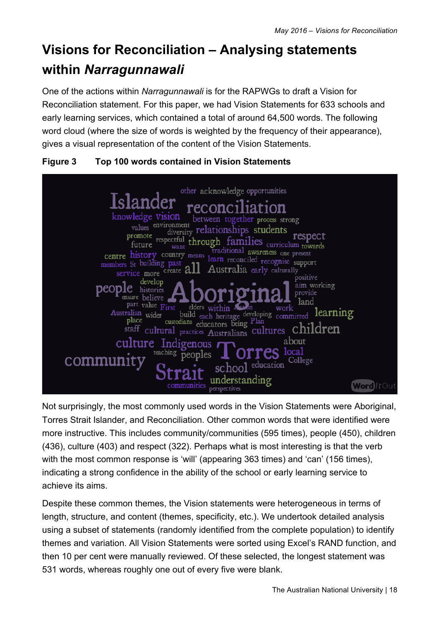# **Visions for Reconciliation – Analysing statements within** *Narragunnawali*

One of the actions within *Narragunnawali* is for the RAPWGs to draft a Vision for Reconciliation statement. For this paper, we had Vision Statements for 633 schools and early learning services, which contained a total of around 64,500 words. The following word cloud (where the size of words is weighted by the frequency of their appearance), gives a visual representation of the content of the Vision Statements.





Not surprisingly, the most commonly used words in the Vision Statements were Aboriginal, Torres Strait Islander, and Reconciliation. Other common words that were identified were more instructive. This includes community/communities (595 times), people (450), children (436), culture (403) and respect (322). Perhaps what is most interesting is that the verb with the most common response is 'will' (appearing 363 times) and 'can' (156 times), indicating a strong confidence in the ability of the school or early learning service to achieve its aims.

Despite these common themes, the Vision statements were heterogeneous in terms of length, structure, and content (themes, specificity, etc.). We undertook detailed analysis using a subset of statements (randomly identified from the complete population) to identify themes and variation. All Vision Statements were sorted using Excel's RAND function, and then 10 per cent were manually reviewed. Of these selected, the longest statement was 531 words, whereas roughly one out of every five were blank.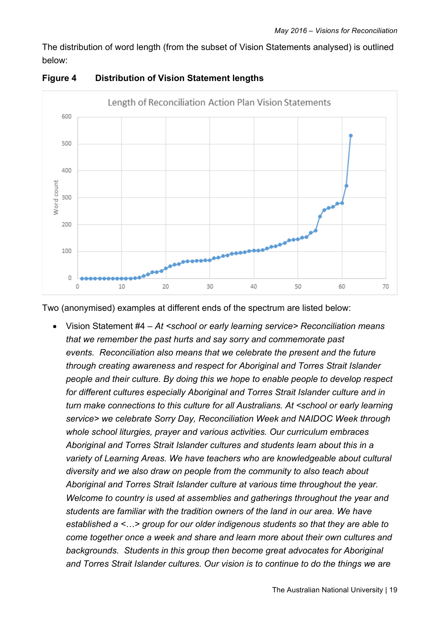The distribution of word length (from the subset of Vision Statements analysed) is outlined below:



#### **Figure 4 Distribution of Vision Statement lengths**

Two (anonymised) examples at different ends of the spectrum are listed below:

• Vision Statement #4 *– At <school or early learning service> Reconciliation means that we remember the past hurts and say sorry and commemorate past events. Reconciliation also means that we celebrate the present and the future through creating awareness and respect for Aboriginal and Torres Strait Islander people and their culture. By doing this we hope to enable people to develop respect for different cultures especially Aboriginal and Torres Strait Islander culture and in turn make connections to this culture for all Australians. At <school or early learning service> we celebrate Sorry Day, Reconciliation Week and NAIDOC Week through whole school liturgies, prayer and various activities. Our curriculum embraces Aboriginal and Torres Strait Islander cultures and students learn about this in a variety of Learning Areas. We have teachers who are knowledgeable about cultural diversity and we also draw on people from the community to also teach about Aboriginal and Torres Strait Islander culture at various time throughout the year. Welcome to country is used at assemblies and gatherings throughout the year and students are familiar with the tradition owners of the land in our area. We have established a <…> group for our older indigenous students so that they are able to come together once a week and share and learn more about their own cultures and backgrounds. Students in this group then become great advocates for Aboriginal and Torres Strait Islander cultures. Our vision is to continue to do the things we are*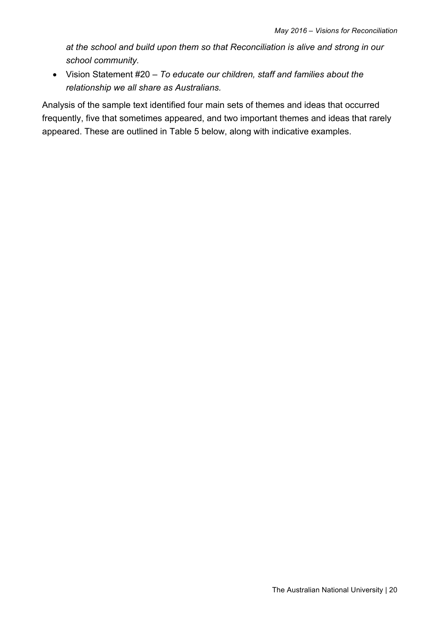*at the school and build upon them so that Reconciliation is alive and strong in our school community.*

• Vision Statement #20 *– To educate our children, staff and families about the relationship we all share as Australians.*

Analysis of the sample text identified four main sets of themes and ideas that occurred frequently, five that sometimes appeared, and two important themes and ideas that rarely appeared. These are outlined in Table 5 below, along with indicative examples.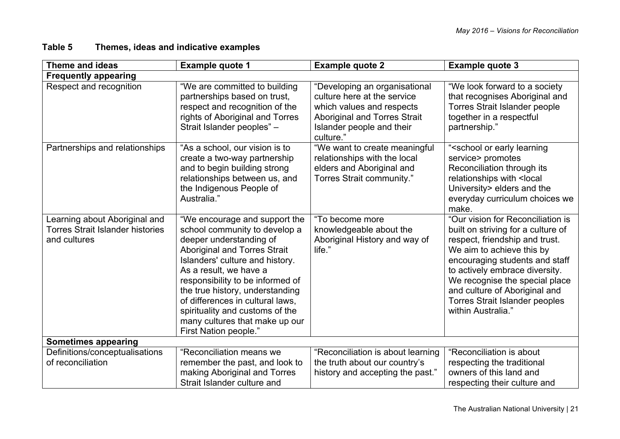#### **Table 5 Themes, ideas and indicative examples**

| <b>Theme and ideas</b>                                                                   | <b>Example quote 1</b>                                                                                                                                                                                                                                                                                                                                                                                 | <b>Example quote 2</b>                                                                                                                                                     | <b>Example quote 3</b>                                                                                                                                                                                                                                                                                                                       |
|------------------------------------------------------------------------------------------|--------------------------------------------------------------------------------------------------------------------------------------------------------------------------------------------------------------------------------------------------------------------------------------------------------------------------------------------------------------------------------------------------------|----------------------------------------------------------------------------------------------------------------------------------------------------------------------------|----------------------------------------------------------------------------------------------------------------------------------------------------------------------------------------------------------------------------------------------------------------------------------------------------------------------------------------------|
| <b>Frequently appearing</b>                                                              |                                                                                                                                                                                                                                                                                                                                                                                                        |                                                                                                                                                                            |                                                                                                                                                                                                                                                                                                                                              |
| Respect and recognition                                                                  | "We are committed to building<br>partnerships based on trust,<br>respect and recognition of the<br>rights of Aboriginal and Torres<br>Strait Islander peoples" -                                                                                                                                                                                                                                       | "Developing an organisational<br>culture here at the service<br>which values and respects<br><b>Aboriginal and Torres Strait</b><br>Islander people and their<br>culture." | "We look forward to a society<br>that recognises Aboriginal and<br><b>Torres Strait Islander people</b><br>together in a respectful<br>partnership."                                                                                                                                                                                         |
| Partnerships and relationships                                                           | "As a school, our vision is to<br>create a two-way partnership<br>and to begin building strong<br>relationships between us, and<br>the Indigenous People of<br>Australia."                                                                                                                                                                                                                             | "We want to create meaningful<br>relationships with the local<br>elders and Aboriginal and<br>Torres Strait community."                                                    | " <school early="" learning<br="" or="">service&gt; promotes<br/>Reconciliation through its<br/>relationships with <local<br>University&gt; elders and the<br/>everyday curriculum choices we<br/>make.</local<br></school>                                                                                                                  |
| Learning about Aboriginal and<br><b>Torres Strait Islander histories</b><br>and cultures | "We encourage and support the<br>school community to develop a<br>deeper understanding of<br><b>Aboriginal and Torres Strait</b><br>Islanders' culture and history.<br>As a result, we have a<br>responsibility to be informed of<br>the true history, understanding<br>of differences in cultural laws,<br>spirituality and customs of the<br>many cultures that make up our<br>First Nation people." | "To become more<br>knowledgeable about the<br>Aboriginal History and way of<br>life."                                                                                      | "Our vision for Reconciliation is<br>built on striving for a culture of<br>respect, friendship and trust.<br>We aim to achieve this by<br>encouraging students and staff<br>to actively embrace diversity.<br>We recognise the special place<br>and culture of Aboriginal and<br><b>Torres Strait Islander peoples</b><br>within Australia." |
| <b>Sometimes appearing</b>                                                               |                                                                                                                                                                                                                                                                                                                                                                                                        |                                                                                                                                                                            |                                                                                                                                                                                                                                                                                                                                              |
| Definitions/conceptualisations<br>of reconciliation                                      | "Reconciliation means we<br>remember the past, and look to<br>making Aboriginal and Torres<br>Strait Islander culture and                                                                                                                                                                                                                                                                              | "Reconciliation is about learning<br>the truth about our country's<br>history and accepting the past."                                                                     | "Reconciliation is about<br>respecting the traditional<br>owners of this land and<br>respecting their culture and                                                                                                                                                                                                                            |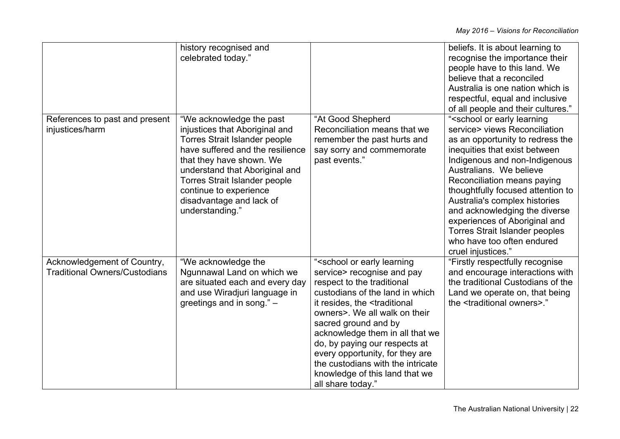|                                      | history recognised and                                     |                                                                                                         | beliefs. It is about learning to                         |
|--------------------------------------|------------------------------------------------------------|---------------------------------------------------------------------------------------------------------|----------------------------------------------------------|
|                                      | celebrated today."                                         |                                                                                                         | recognise the importance their                           |
|                                      |                                                            |                                                                                                         | people have to this land. We                             |
|                                      |                                                            |                                                                                                         | believe that a reconciled                                |
|                                      |                                                            |                                                                                                         | Australia is one nation which is                         |
|                                      |                                                            |                                                                                                         | respectful, equal and inclusive                          |
|                                      |                                                            |                                                                                                         | of all people and their cultures."                       |
| References to past and present       | "We acknowledge the past                                   | "At Good Shepherd                                                                                       | " <school early="" learning<="" or="" td=""></school>    |
| injustices/harm                      | injustices that Aboriginal and                             | Reconciliation means that we                                                                            | service> views Reconciliation                            |
|                                      | <b>Torres Strait Islander people</b>                       | remember the past hurts and                                                                             | as an opportunity to redress the                         |
|                                      | have suffered and the resilience                           | say sorry and commemorate                                                                               | inequities that exist between                            |
|                                      | that they have shown. We<br>understand that Aboriginal and | past events."                                                                                           | Indigenous and non-Indigenous<br>Australians. We believe |
|                                      | <b>Torres Strait Islander people</b>                       |                                                                                                         | Reconciliation means paying                              |
|                                      | continue to experience                                     |                                                                                                         | thoughtfully focused attention to                        |
|                                      | disadvantage and lack of                                   |                                                                                                         | Australia's complex histories                            |
|                                      | understanding."                                            |                                                                                                         | and acknowledging the diverse                            |
|                                      |                                                            |                                                                                                         | experiences of Aboriginal and                            |
|                                      |                                                            |                                                                                                         | <b>Torres Strait Islander peoples</b>                    |
|                                      |                                                            |                                                                                                         | who have too often endured                               |
|                                      |                                                            |                                                                                                         | cruel injustices."                                       |
| Acknowledgement of Country,          | "We acknowledge the                                        | " <school early="" learning<="" or="" td=""><td>"Firstly respectfully recognise</td></school>           | "Firstly respectfully recognise                          |
| <b>Traditional Owners/Custodians</b> | Ngunnawal Land on which we                                 | service> recognise and pay                                                                              | and encourage interactions with                          |
|                                      | are situated each and every day                            | respect to the traditional                                                                              | the traditional Custodians of the                        |
|                                      | and use Wiradjuri language in                              | custodians of the land in which                                                                         | Land we operate on, that being                           |
|                                      | greetings and in song." -                                  | it resides, the <traditional< td=""><td>the <traditional owners="">."</traditional></td></traditional<> | the <traditional owners="">."</traditional>              |
|                                      |                                                            | owners>. We all walk on their                                                                           |                                                          |
|                                      |                                                            | sacred ground and by                                                                                    |                                                          |
|                                      |                                                            | acknowledge them in all that we                                                                         |                                                          |
|                                      |                                                            | do, by paying our respects at                                                                           |                                                          |
|                                      |                                                            | every opportunity, for they are                                                                         |                                                          |
|                                      |                                                            | the custodians with the intricate                                                                       |                                                          |
|                                      |                                                            | knowledge of this land that we                                                                          |                                                          |
|                                      |                                                            | all share today."                                                                                       |                                                          |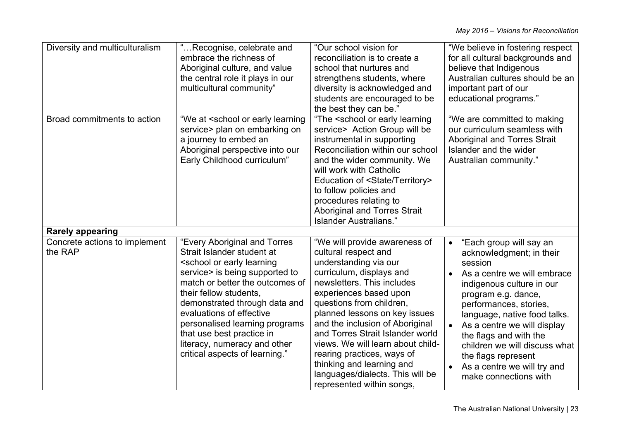| Diversity and multiculturalism           | "Recognise, celebrate and<br>embrace the richness of<br>Aboriginal culture, and value<br>the central role it plays in our<br>multicultural community"                                                                                                                                                                                                                                                             | "Our school vision for<br>reconciliation is to create a<br>school that nurtures and<br>strengthens students, where<br>diversity is acknowledged and<br>students are encouraged to be<br>the best they can be."                                                                                                                                                                                                                                                          | "We believe in fostering respect<br>for all cultural backgrounds and<br>believe that Indigenous<br>Australian cultures should be an<br>important part of our<br>educational programs."                                                                                                                                                                                               |
|------------------------------------------|-------------------------------------------------------------------------------------------------------------------------------------------------------------------------------------------------------------------------------------------------------------------------------------------------------------------------------------------------------------------------------------------------------------------|-------------------------------------------------------------------------------------------------------------------------------------------------------------------------------------------------------------------------------------------------------------------------------------------------------------------------------------------------------------------------------------------------------------------------------------------------------------------------|--------------------------------------------------------------------------------------------------------------------------------------------------------------------------------------------------------------------------------------------------------------------------------------------------------------------------------------------------------------------------------------|
| Broad commitments to action              | "We at <school early="" learning<br="" or="">service&gt; plan on embarking on<br/>a journey to embed an<br/>Aboriginal perspective into our<br/>Early Childhood curriculum"</school>                                                                                                                                                                                                                              | "The <school early="" learning<br="" or="">service&gt; Action Group will be<br/>instrumental in supporting<br/>Reconciliation within our school<br/>and the wider community. We<br/>will work with Catholic<br/>Education of <state territory=""><br/>to follow policies and<br/>procedures relating to<br/><b>Aboriginal and Torres Strait</b><br/>Islander Australians."</state></school>                                                                             | "We are committed to making<br>our curriculum seamless with<br><b>Aboriginal and Torres Strait</b><br>Islander and the wider<br>Australian community."                                                                                                                                                                                                                               |
| <b>Rarely appearing</b>                  |                                                                                                                                                                                                                                                                                                                                                                                                                   |                                                                                                                                                                                                                                                                                                                                                                                                                                                                         |                                                                                                                                                                                                                                                                                                                                                                                      |
| Concrete actions to implement<br>the RAP | "Every Aboriginal and Torres<br>Strait Islander student at<br><school early="" learning<br="" or="">service&gt; is being supported to<br/>match or better the outcomes of<br/>their fellow students,<br/>demonstrated through data and<br/>evaluations of effective<br/>personalised learning programs<br/>that use best practice in<br/>literacy, numeracy and other<br/>critical aspects of learning."</school> | "We will provide awareness of<br>cultural respect and<br>understanding via our<br>curriculum, displays and<br>newsletters. This includes<br>experiences based upon<br>questions from children,<br>planned lessons on key issues<br>and the inclusion of Aboriginal<br>and Torres Strait Islander world<br>views. We will learn about child-<br>rearing practices, ways of<br>thinking and learning and<br>languages/dialects. This will be<br>represented within songs, | "Each group will say an<br>acknowledgment; in their<br>session<br>As a centre we will embrace<br>indigenous culture in our<br>program e.g. dance,<br>performances, stories,<br>language, native food talks.<br>As a centre we will display<br>the flags and with the<br>children we will discuss what<br>the flags represent<br>As a centre we will try and<br>make connections with |